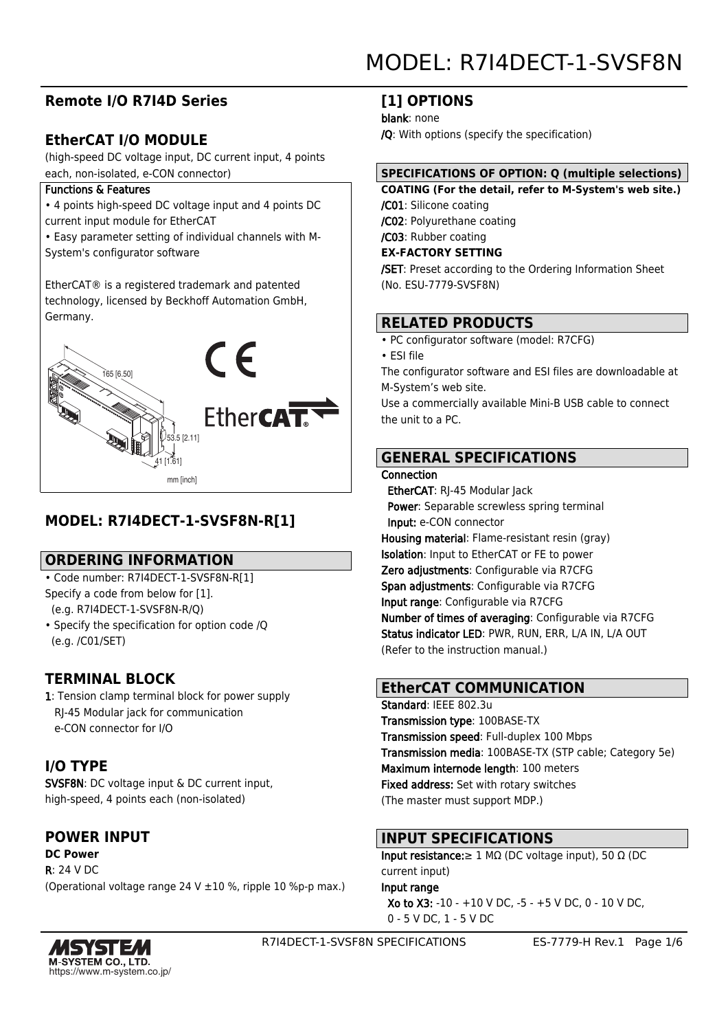# **Remote I/O R7I4D Series**

# **EtherCAT I/O MODULE**

(high-speed DC voltage input, DC current input, 4 points each, non-isolated, e-CON connector)

#### Functions & Features

• 4 points high-speed DC voltage input and 4 points DC current input module for EtherCAT

• Easy parameter setting of individual channels with M-System's configurator software

EtherCAT® is a registered trademark and patented technology, licensed by Beckhoff Automation GmbH, Germany.



# **MODEL: R7I4DECT-1-SVSF8N-R[1]**

# **ORDERING INFORMATION**

- Code number: R7I4DECT-1-SVSF8N-R[1]
- Specify a code from below for [1]. (e.g. R7I4DECT-1-SVSF8N-R/Q)
- Specify the specification for option code /Q (e.g. /C01/SET)

# **TERMINAL BLOCK**

1: Tension clamp terminal block for power supply RJ-45 Modular jack for communication e-CON connector for I/O

# **I/O TYPE**

SVSF8N: DC voltage input & DC current input, high-speed, 4 points each (non-isolated)

# **POWER INPUT**

**DC Power** R: 24 V DC (Operational voltage range 24 V ±10 %, ripple 10 %p-p max.)

# **[1] OPTIONS**

blank: none

/Q: With options (specify the specification)

## **SPECIFICATIONS OF OPTION: Q (multiple selections)**

**COATING (For the detail, refer to M-System's web site.)** /C01: Silicone coating /C02: Polyurethane coating /C03: Rubber coating

**EX-FACTORY SETTING**

/SET: Preset according to the Ordering Information Sheet (No. ESU-7779-SVSF8N)

# **RELATED PRODUCTS**

• PC configurator software (model: R7CFG)

• ESI file

The configurator software and ESI files are downloadable at M-System's web site.

Use a commercially available Mini-B USB cable to connect the unit to a PC.

# **GENERAL SPECIFICATIONS**

#### **Connection**

 EtherCAT: RJ-45 Modular Jack Power: Separable screwless spring terminal Input: e-CON connector Housing material: Flame-resistant resin (gray) Isolation: Input to EtherCAT or FE to power Zero adjustments: Configurable via R7CFG Span adjustments: Configurable via R7CFG Input range: Configurable via R7CFG Number of times of averaging: Configurable via R7CFG Status indicator LED: PWR, RUN, ERR, L/A IN, L/A OUT (Refer to the instruction manual.)

# **EtherCAT COMMUNICATION**

Standard: IEEE 802.3u Transmission type: 100BASE-TX Transmission speed: Full-duplex 100 Mbps Transmission media: 100BASE-TX (STP cable; Category 5e) Maximum internode length: 100 meters Fixed address: Set with rotary switches (The master must support MDP.)

# **INPUT SPECIFICATIONS**

Input resistance:  $\geq 1$  MΩ (DC voltage input), 50 Ω (DC current input)

Input range

 Xo to X3: -10 - +10 V DC, -5 - +5 V DC, 0 - 10 V DC, 0 - 5 V DC, 1 - 5 V DC

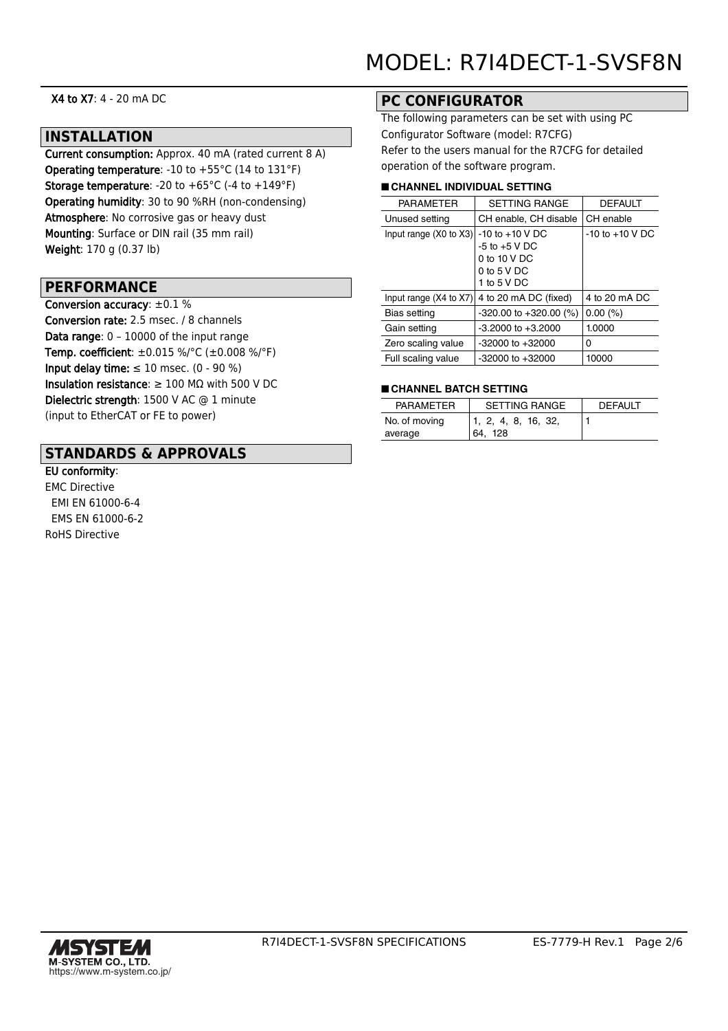X4 to X7: 4 - 20 mA DC

#### **INSTALLATION**

Current consumption: Approx. 40 mA (rated current 8 A) Operating temperature: -10 to +55°C (14 to 131°F) **Storage temperature:** -20 to  $+65^{\circ}$ C (-4 to  $+149^{\circ}$ F) Operating humidity: 30 to 90 %RH (non-condensing) Atmosphere: No corrosive gas or heavy dust Mounting: Surface or DIN rail (35 mm rail) Weight: 170 g (0.37 lb)

#### **PERFORMANCE**

Conversion accuracy: ±0.1 % Conversion rate: 2.5 msec. / 8 channels Data range: 0 – 10000 of the input range Temp. coefficient: ±0.015 %/°C (±0.008 %/°F) Input delay time:  $\leq 10$  msec. (0 - 90 %) Insulation resistance: ≥ 100 MΩ with 500 V DC Dielectric strength: 1500 V AC @ 1 minute (input to EtherCAT or FE to power)

## **STANDARDS & APPROVALS**

EU conformity: EMC Directive EMI EN 61000-6-4 EMS EN 61000-6-2 RoHS Directive

## **PC CONFIGURATOR**

The following parameters can be set with using PC Configurator Software (model: R7CFG) Refer to the users manual for the R7CFG for detailed operation of the software program.

#### ■ **CHANNEL INDIVIDUAL SETTING**

| <b>PARAMETER</b>                  | <b>SETTING RANGE</b>       | <b>DEFAULT</b>      |  |
|-----------------------------------|----------------------------|---------------------|--|
| Unused setting                    | CH enable, CH disable      | CH enable           |  |
| Input range $(X0 \text{ to } X3)$ | $-10$ to $+10$ V DC        | $-10$ to $+10$ V DC |  |
|                                   | $-5$ to $+5$ V DC          |                     |  |
|                                   | 0 to 10 V DC               |                     |  |
|                                   | 0 to 5 V DC                |                     |  |
|                                   | 1 to 5 V DC                |                     |  |
| Input range $(X4$ to $X7)$        | 4 to 20 mA DC (fixed)      | 4 to 20 mA DC       |  |
| Bias setting                      | $-320.00$ to $+320.00$ (%) | $0.00\ (%)$         |  |
| Gain setting                      | $-3.2000$ to $+3.2000$     | 1.0000              |  |
| Zero scaling value                | $-32000$ to $+32000$       | 0                   |  |
| Full scaling value                | $-32000$ to $+32000$       | 10000               |  |

#### ■ **CHANNEL BATCH SETTING**

| <b>PARAMETER</b> | <b>SETTING RANGE</b> | <b>DEFAULT</b> |
|------------------|----------------------|----------------|
| No. of moving    | 1, 2, 4, 8, 16, 32,  |                |
| average          | 64.128               |                |

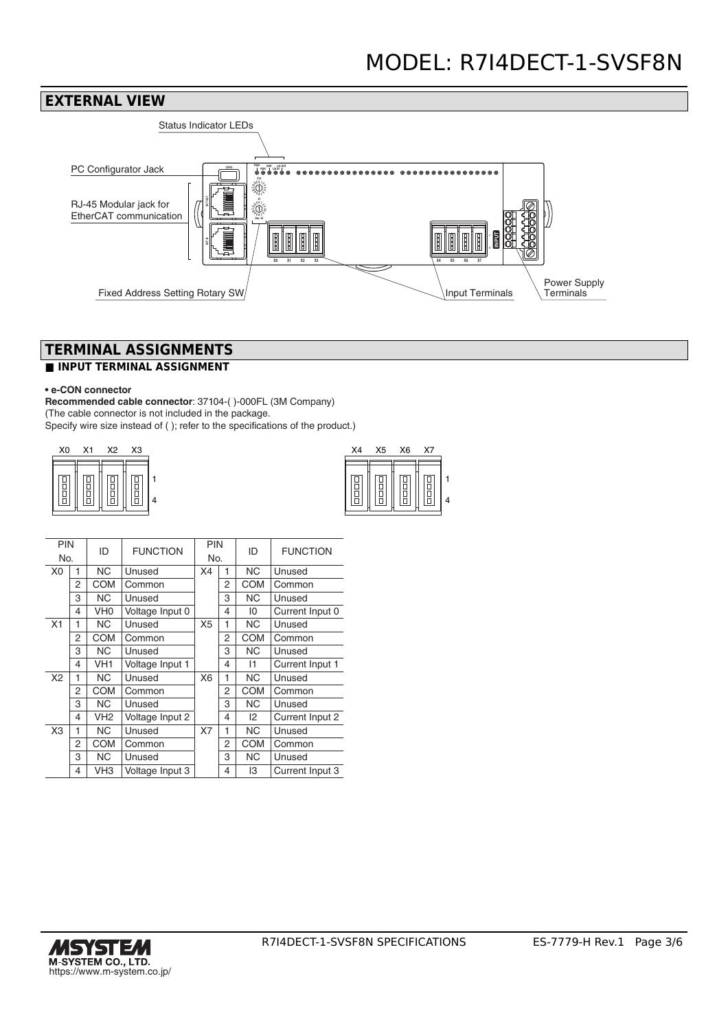

# **TERMINAL ASSIGNMENTS**

## **■ INPUT TERMINAL ASSIGNMENT**

#### **• e-CON connector**

**Recommended cable connector**: 37104-( )-000FL (3M Company) (The cable connector is not included in the package. Specify wire size instead of ( ); refer to the specifications of the product.)

| X <sub>0</sub> | X1 | X2     | <b>X3</b> | X4 | X5 | X6 | X7 |
|----------------|----|--------|-----------|----|----|----|----|
| $\parallel$    | ŏ  | o<br>B |           |    |    | 븜  | 日日 |

| X4 | X <sub>5</sub> | X <sub>6</sub> | X7 |  |
|----|----------------|----------------|----|--|
|    |                |                |    |  |

| PIN            |   |                 | ID<br><b>FUNCTION</b> |                | PIN | ID         | <b>FUNCTION</b> |
|----------------|---|-----------------|-----------------------|----------------|-----|------------|-----------------|
| No.            |   |                 |                       | No.            |     |            |                 |
| X <sub>0</sub> | 1 | <b>NC</b>       | Unused                | X4             | 1   | NC.        | Unused          |
|                | 2 | <b>COM</b>      | Common                |                | 2   | <b>COM</b> | Common          |
|                | 3 | <b>NC</b>       | Unused                |                | 3   | <b>NC</b>  | Unused          |
|                | 4 | VH <sub>0</sub> | Voltage Input 0       |                | 4   | 10         | Current Input 0 |
| X <sub>1</sub> | 1 | <b>NC</b>       | Unused                | X <sub>5</sub> | 1   | NC.        | Unused          |
|                | 2 | <b>COM</b>      | Common                |                | 2   | <b>COM</b> | Common          |
|                | 3 | <b>NC</b>       | Unused                |                | 3   | NC.        | Unused          |
|                | 4 | VH1             | Voltage Input 1       |                | 4   | 11         | Current Input 1 |
| X2             | 1 | <b>NC</b>       | Unused                | X <sub>6</sub> | 1   | <b>NC</b>  | Unused          |
|                | 2 | <b>COM</b>      | Common                |                | 2   | <b>COM</b> | Common          |
|                | 3 | NC.             | Unused                |                | 3   | NC.        | Unused          |
|                | 4 | VH <sub>2</sub> | Voltage Input 2       |                | 4   | 12         | Current Input 2 |
| X <sub>3</sub> | 1 | <b>NC</b>       | Unused                | X7             | 1   | <b>NC</b>  | Unused          |
|                | 2 | <b>COM</b>      | Common                |                | 2   | <b>COM</b> | Common          |
|                | 3 | NC.             | Unused                |                | 3   | NC.        | Unused          |
|                | 4 | VH3             | Voltage Input 3       |                | 4   | 13         | Current Input 3 |

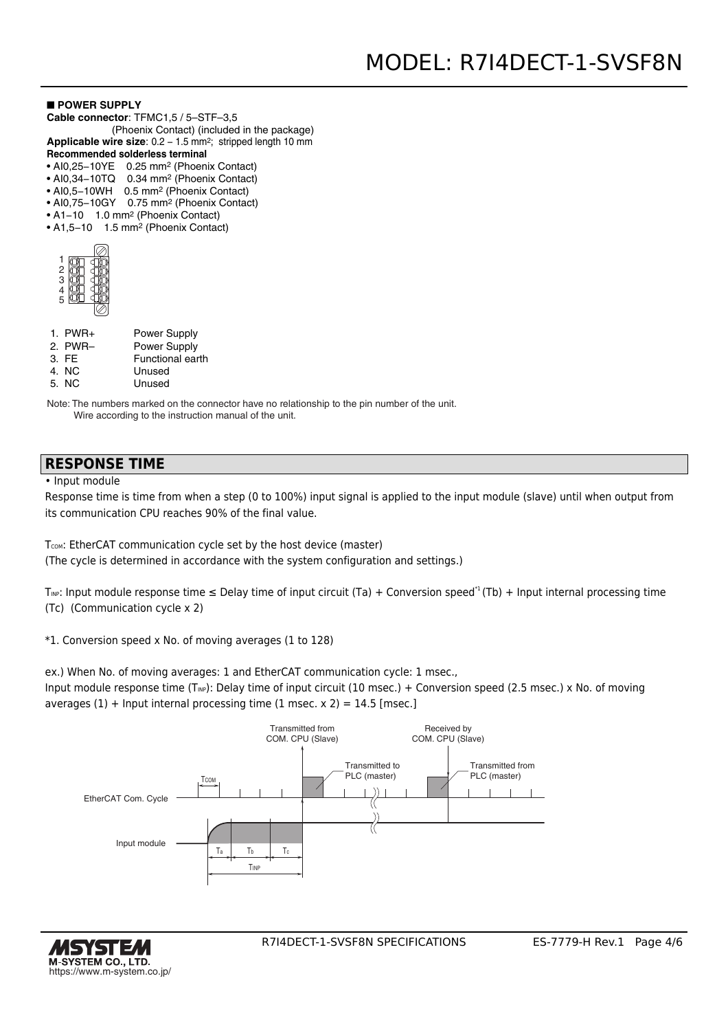#### ■ **POWER SUPPLY**

- **Cable connector**: TFMC1,5 / 5–STF–3,5
- (Phoenix Contact) (included in the package) Applicable wire size: 0.2 - 1.5 mm<sup>2</sup>; stripped length 10 mm
- **Recommended solderless terminal**
- AI0,25−10YE 0.25 mm2 (Phoenix Contact)
- AI0,34−10TQ 0.34 mm2 (Phoenix Contact)
- AI0,5−10WH 0.5 mm2 (Phoenix Contact)
- AI0,75−10GY 0.75 mm2 (Phoenix Contact)
- A1−10 1.0 mm2 (Phoenix Contact)
- A1,5−10 1.5 mm2 (Phoenix Contact)

| ٦ |  |
|---|--|
| Э |  |
|   |  |
| 5 |  |
|   |  |

| $1.$ PWR+ | <b>Power Supply</b>     |
|-----------|-------------------------|
| 2. PWR-   | <b>Power Supply</b>     |
| 3. FE     | <b>Functional earth</b> |

- 4. NC Unused
- 5. NC Unused

Note: The numbers marked on the connector have no relationship to the pin number of the unit. Wire according to the instruction manual of the unit.

## **RESPONSE TIME**

• Input module

Response time is time from when a step (0 to 100%) input signal is applied to the input module (slave) until when output from its communication CPU reaches 90% of the final value.

T<sub>COM</sub>: EtherCAT communication cycle set by the host device (master) (The cycle is determined in accordance with the system configuration and settings.)

T<sub>INP</sub>: Input module response time  $\leq$  Delay time of input circuit (Ta) + Conversion speed<sup>\*1</sup> (Tb) + Input internal processing time (Tc) (Communication cycle x 2)

\*1. Conversion speed x No. of moving averages (1 to 128)

ex.) When No. of moving averages: 1 and EtherCAT communication cycle: 1 msec.,

Input module response time (T<sub>NP</sub>): Delay time of input circuit (10 msec.) + Conversion speed (2.5 msec.) x No. of moving averages  $(1)$  + Input internal processing time  $(1 \text{ msec. x } 2) = 14.5 \text{ [msec.]}$ 



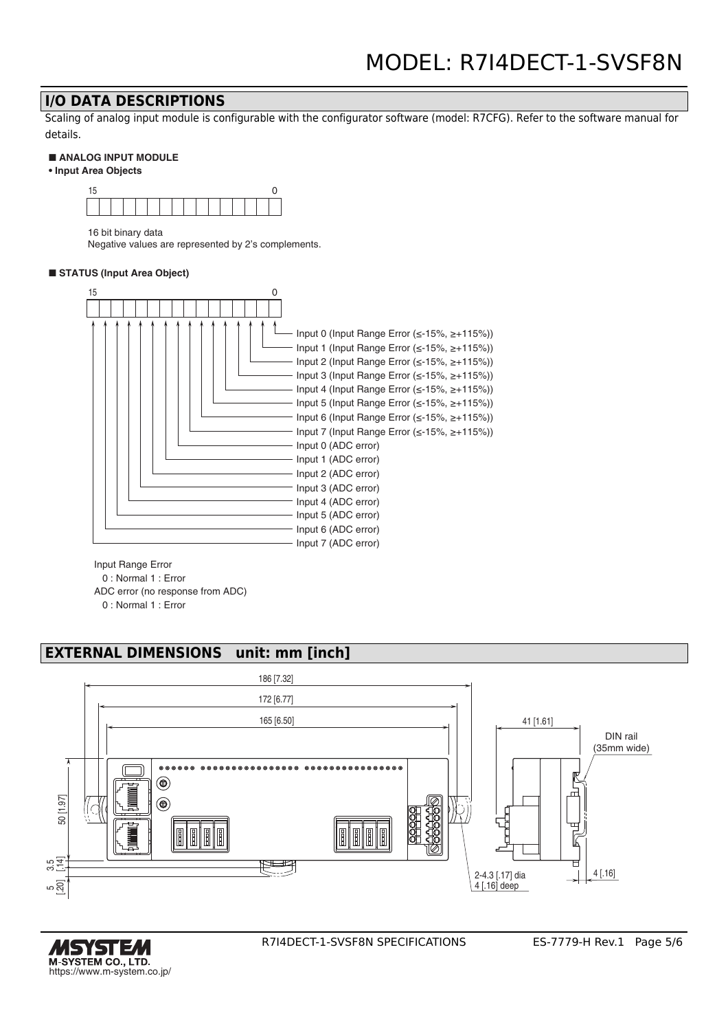## **I/O DATA DESCRIPTIONS**

Scaling of analog input module is configurable with the configurator software (model: R7CFG). Refer to the software manual for details.

#### ■ **ANALOG INPUT MODULE**

**• Input Area Objects**



16 bit binary data

Negative values are represented by 2's complements.

#### ■ **STATUS** (Input Area Object)



Input Range Error

0 : Normal 1 : Error

ADC error (no response from ADC)

0 : Normal 1 : Error

# **EXTERNAL DIMENSIONS unit: mm [inch]**